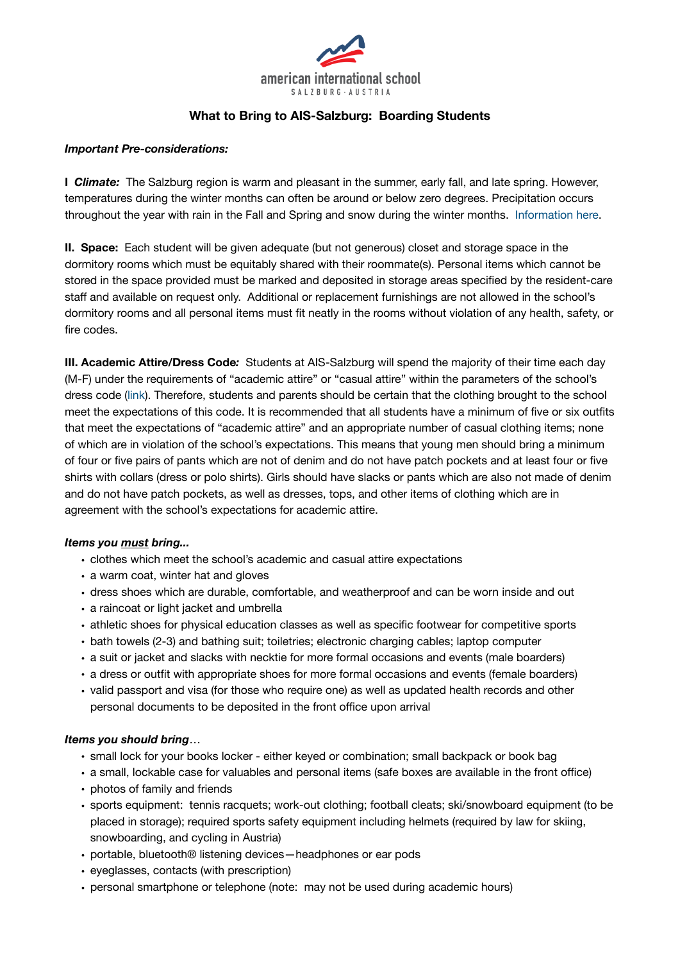

# **What to Bring to AIS-Salzburg: Boarding Students**

#### *Important Pre-considerations:*

**I Climate:** The Salzburg region is warm and pleasant in the summer, early fall, and late spring. However, temperatures during the winter months can often be around or below zero degrees. Precipitation occurs throughout the year with rain in the Fall and Spring and snow during the winter months. [Information here](https://www.climatestotravel.com/climate/austria).

**II. Space:** Each student will be given adequate (but not generous) closet and storage space in the dormitory rooms which must be equitably shared with their roommate(s). Personal items which cannot be stored in the space provided must be marked and deposited in storage areas specified by the resident-care staff and available on request only. Additional or replacement furnishings are not allowed in the school's dormitory rooms and all personal items must fit neatly in the rooms without violation of any health, safety, or fire codes.

**III. Academic Attire/Dress Code***:* Students at AIS-Salzburg will spend the majority of their time each day (M-F) under the requirements of "academic attire" or "casual attire" within the parameters of the school's dress code ([link\)](https://www.ais-salzburg.at/wp-content/uploads/2015/02/DressCode2017.pdf). Therefore, students and parents should be certain that the clothing brought to the school meet the expectations of this code. It is recommended that all students have a minimum of five or six outfits that meet the expectations of "academic attire" and an appropriate number of casual clothing items; none of which are in violation of the school's expectations. This means that young men should bring a minimum of four or five pairs of pants which are not of denim and do not have patch pockets and at least four or five shirts with collars (dress or polo shirts). Girls should have slacks or pants which are also not made of denim and do not have patch pockets, as well as dresses, tops, and other items of clothing which are in agreement with the school's expectations for academic attire.

### *Items you must bring...*

- clothes which meet the school's academic and casual attire expectations
- a warm coat, winter hat and gloves
- dress shoes which are durable, comfortable, and weatherproof and can be worn inside and out
- a raincoat or light jacket and umbrella
- athletic shoes for physical education classes as well as specific footwear for competitive sports
- bath towels (2-3) and bathing suit; toiletries; electronic charging cables; laptop computer
- a suit or jacket and slacks with necktie for more formal occasions and events (male boarders)
- a dress or outfit with appropriate shoes for more formal occasions and events (female boarders)
- valid passport and visa (for those who require one) as well as updated health records and other personal documents to be deposited in the front office upon arrival

### *Items you should bring*…

- small lock for your books locker either keyed or combination; small backpack or book bag
- a small, lockable case for valuables and personal items (safe boxes are available in the front office)
- photos of family and friends
- sports equipment: tennis racquets; work-out clothing; football cleats; ski/snowboard equipment (to be placed in storage); required sports safety equipment including helmets (required by law for skiing, snowboarding, and cycling in Austria)
- portable, bluetooth® listening devices—headphones or ear pods
- eyeglasses, contacts (with prescription)
- personal smartphone or telephone (note: may not be used during academic hours)